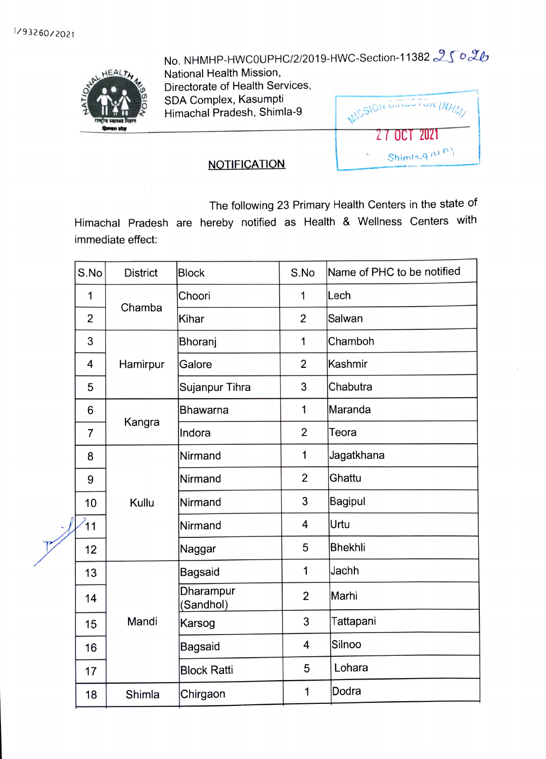HAM HEALTH

No. NHMHP-HWC0UPHC/2/2019-HWC-Section-11382  $2502$ 

National Health Mission, Directorate of Health Services, SDA Complex, Kasumpti Himachal Pradesh, Shimla-9

**MISSION EIR**  $\nu$ K $(M)$ 27 OCT 2021 Shimla-9 $\mu$ <sup>p</sup>)

## **NOTIFICATION**

The following 23 Primary Health Centers in the state of

Himachal Pradesh are hereby notified as Health & Wellness Centers with immediate effect:

| S.No            | <b>District</b> | <b>Block</b>           | S.No           | Name of PHC to be notified |
|-----------------|-----------------|------------------------|----------------|----------------------------|
| 1               | Chamba          | Choori                 | 1              | lLech                      |
| $\overline{2}$  |                 | Kihar                  | 2              | Salwan                     |
| 3               | Hamirpur        | Bhoranj                | 1              | Chamboh                    |
| 4               |                 | Galore                 | $\overline{2}$ | Kashmir                    |
| 5               |                 | Sujanpur Tihra         | 3              | Chabutra                   |
| 6               | Kangra          | Bhawarna               | 1              | Maranda                    |
| $\overline{7}$  |                 | Indora                 | $\overline{2}$ | Teora                      |
| 8               | Kullu           | Nirmand                | 1              | Jagatkhana                 |
| 9               |                 | Nirmand                | $\overline{2}$ | Ghattu                     |
| 10              |                 | Nirmand                | 3              | <b>Bagipul</b>             |
| $\overline{11}$ |                 | Nirmand                | $\overline{4}$ | Urtu                       |
| 12              |                 | Naggar                 | 5              | <b>Bhekhli</b>             |
| 13              | Mandi           | <b>Bagsaid</b>         | 1              | Jachh                      |
| 14              |                 | Dharampur<br>(Sandhol) | $\overline{2}$ | Marhi                      |
| 15              |                 | Karsog                 | 3              | Tattapani                  |
| 16              |                 | Bagsaid                | 4              | Silnoo                     |
| 17              |                 | <b>Block Ratti</b>     | 5              | Lohara                     |
| 18              | Shimla          | Chirgaon               | 1              | Dodra                      |